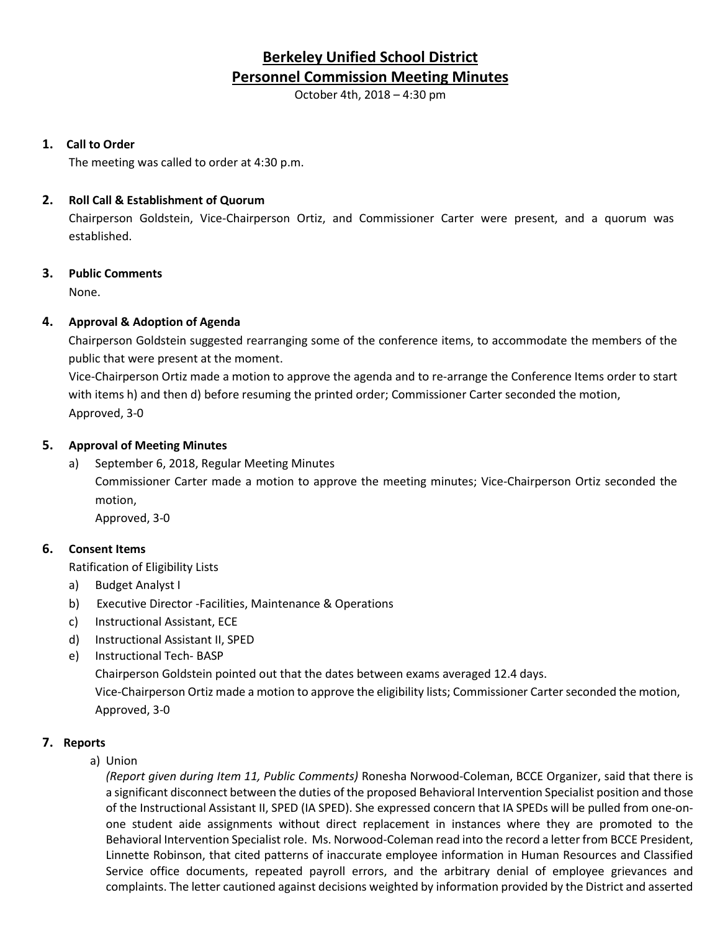# **Berkeley Unified School District Personnel Commission Meeting Minutes**

October 4th, 2018 – 4:30 pm

# **1. Call to Order**

The meeting was called to order at 4:30 p.m.

# **2. Roll Call & Establishment of Quorum**

Chairperson Goldstein, Vice-Chairperson Ortiz, and Commissioner Carter were present, and a quorum was established.

# **3. Public Comments**

None.

# **4. Approval & Adoption of Agenda**

Chairperson Goldstein suggested rearranging some of the conference items, to accommodate the members of the public that were present at the moment.

Vice-Chairperson Ortiz made a motion to approve the agenda and to re-arrange the Conference Items order to start with items h) and then d) before resuming the printed order; Commissioner Carter seconded the motion, Approved, 3-0

# **5. Approval of Meeting Minutes**

a) September 6, 2018, Regular Meeting Minutes Commissioner Carter made a motion to approve the meeting minutes; Vice-Chairperson Ortiz seconded the motion, Approved, 3-0

# **6. Consent Items**

Ratification of Eligibility Lists

- a) Budget Analyst I
- b) Executive Director -Facilities, Maintenance & Operations
- c) Instructional Assistant, ECE
- d) Instructional Assistant II, SPED
- e) Instructional Tech- BASP

Chairperson Goldstein pointed out that the dates between exams averaged 12.4 days.

Vice-Chairperson Ortiz made a motion to approve the eligibility lists; Commissioner Carter seconded the motion, Approved, 3-0

### **7. Reports**

a) Union

*(Report given during Item 11, Public Comments)* Ronesha Norwood-Coleman, BCCE Organizer, said that there is a significant disconnect between the duties of the proposed Behavioral Intervention Specialist position and those of the Instructional Assistant II, SPED (IA SPED). She expressed concern that IA SPEDs will be pulled from one-onone student aide assignments without direct replacement in instances where they are promoted to the Behavioral Intervention Specialist role. Ms. Norwood-Coleman read into the record a letter from BCCE President, Linnette Robinson, that cited patterns of inaccurate employee information in Human Resources and Classified Service office documents, repeated payroll errors, and the arbitrary denial of employee grievances and complaints. The letter cautioned against decisions weighted by information provided by the District and asserted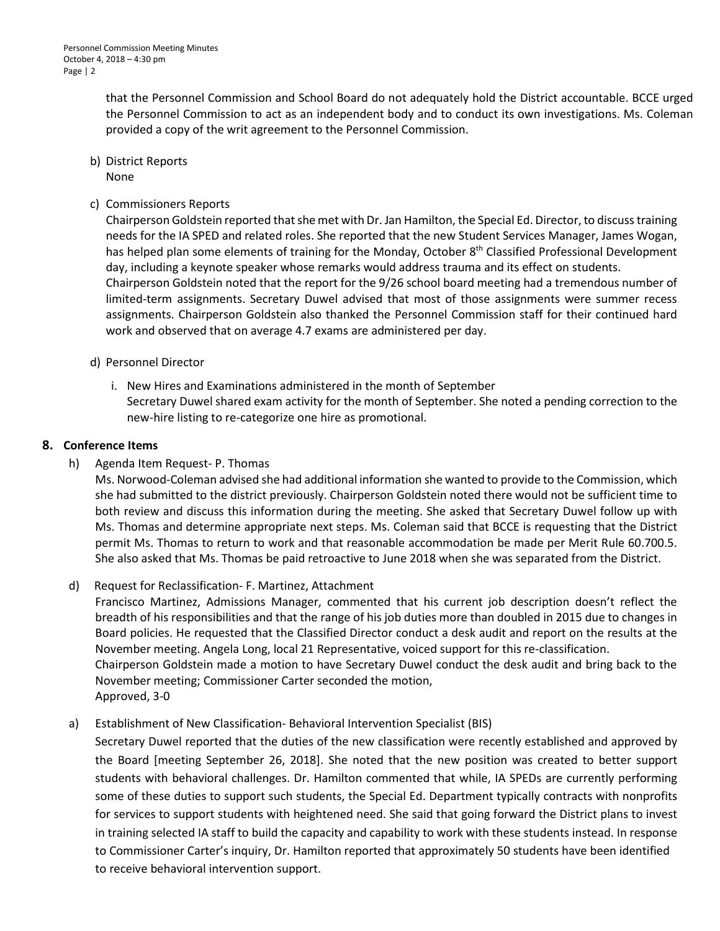that the Personnel Commission and School Board do not adequately hold the District accountable. BCCE urged the Personnel Commission to act as an independent body and to conduct its own investigations. Ms. Coleman provided a copy of the writ agreement to the Personnel Commission.

- b) District Reports None
- c) Commissioners Reports

Chairperson Goldstein reported that she met with Dr. Jan Hamilton, the Special Ed. Director, to discuss training needs for the IA SPED and related roles. She reported that the new Student Services Manager, James Wogan, has helped plan some elements of training for the Monday, October 8<sup>th</sup> Classified Professional Development day, including a keynote speaker whose remarks would address trauma and its effect on students. Chairperson Goldstein noted that the report for the 9/26 school board meeting had a tremendous number of limited-term assignments. Secretary Duwel advised that most of those assignments were summer recess assignments. Chairperson Goldstein also thanked the Personnel Commission staff for their continued hard work and observed that on average 4.7 exams are administered per day.

- d) Personnel Director
	- i. New Hires and Examinations administered in the month of September Secretary Duwel shared exam activity for the month of September. She noted a pending correction to the new-hire listing to re-categorize one hire as promotional.

### **8. Conference Items**

# h) Agenda Item Request- P. Thomas

Ms. Norwood-Coleman advised she had additional information she wanted to provide to the Commission, which she had submitted to the district previously. Chairperson Goldstein noted there would not be sufficient time to both review and discuss this information during the meeting. She asked that Secretary Duwel follow up with Ms. Thomas and determine appropriate next steps. Ms. Coleman said that BCCE is requesting that the District permit Ms. Thomas to return to work and that reasonable accommodation be made per Merit Rule 60.700.5. She also asked that Ms. Thomas be paid retroactive to June 2018 when she was separated from the District.

### d) Request for Reclassification- F. Martinez, Attachment

Francisco Martinez, Admissions Manager, commented that his current job description doesn't reflect the breadth of his responsibilities and that the range of his job duties more than doubled in 2015 due to changes in Board policies. He requested that the Classified Director conduct a desk audit and report on the results at the November meeting. Angela Long, local 21 Representative, voiced support for this re-classification. Chairperson Goldstein made a motion to have Secretary Duwel conduct the desk audit and bring back to the November meeting; Commissioner Carter seconded the motion, Approved, 3-0

# a) Establishment of New Classification- Behavioral Intervention Specialist (BIS)

Secretary Duwel reported that the duties of the new classification were recently established and approved by the Board [meeting September 26, 2018]. She noted that the new position was created to better support students with behavioral challenges. Dr. Hamilton commented that while, IA SPEDs are currently performing some of these duties to support such students, the Special Ed. Department typically contracts with nonprofits for services to support students with heightened need. She said that going forward the District plans to invest in training selected IA staff to build the capacity and capability to work with these students instead. In response to Commissioner Carter's inquiry, Dr. Hamilton reported that approximately 50 students have been identified to receive behavioral intervention support.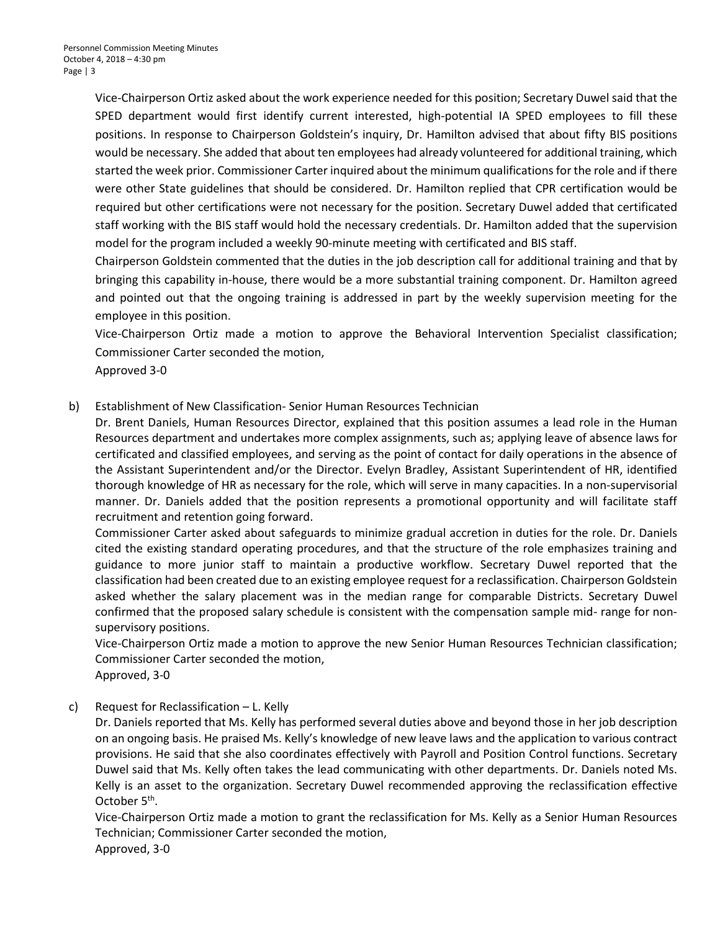Vice-Chairperson Ortiz asked about the work experience needed for this position; Secretary Duwel said that the SPED department would first identify current interested, high-potential IA SPED employees to fill these positions. In response to Chairperson Goldstein's inquiry, Dr. Hamilton advised that about fifty BIS positions would be necessary. She added that about ten employees had already volunteered for additional training, which started the week prior. Commissioner Carter inquired about the minimum qualificationsfor the role and if there were other State guidelines that should be considered. Dr. Hamilton replied that CPR certification would be required but other certifications were not necessary for the position. Secretary Duwel added that certificated staff working with the BIS staff would hold the necessary credentials. Dr. Hamilton added that the supervision model for the program included a weekly 90-minute meeting with certificated and BIS staff.

Chairperson Goldstein commented that the duties in the job description call for additional training and that by bringing this capability in-house, there would be a more substantial training component. Dr. Hamilton agreed and pointed out that the ongoing training is addressed in part by the weekly supervision meeting for the employee in this position.

Vice-Chairperson Ortiz made a motion to approve the Behavioral Intervention Specialist classification; Commissioner Carter seconded the motion,

Approved 3-0

b) Establishment of New Classification- Senior Human Resources Technician

Dr. Brent Daniels, Human Resources Director, explained that this position assumes a lead role in the Human Resources department and undertakes more complex assignments, such as; applying leave of absence laws for certificated and classified employees, and serving as the point of contact for daily operations in the absence of the Assistant Superintendent and/or the Director. Evelyn Bradley, Assistant Superintendent of HR, identified thorough knowledge of HR as necessary for the role, which will serve in many capacities. In a non-supervisorial manner. Dr. Daniels added that the position represents a promotional opportunity and will facilitate staff recruitment and retention going forward.

Commissioner Carter asked about safeguards to minimize gradual accretion in duties for the role. Dr. Daniels cited the existing standard operating procedures, and that the structure of the role emphasizes training and guidance to more junior staff to maintain a productive workflow. Secretary Duwel reported that the classification had been created due to an existing employee request for a reclassification. Chairperson Goldstein asked whether the salary placement was in the median range for comparable Districts. Secretary Duwel confirmed that the proposed salary schedule is consistent with the compensation sample mid- range for nonsupervisory positions.

Vice-Chairperson Ortiz made a motion to approve the new Senior Human Resources Technician classification; Commissioner Carter seconded the motion,

Approved, 3-0

### c) Request for Reclassification – L. Kelly

Dr. Daniels reported that Ms. Kelly has performed several duties above and beyond those in her job description on an ongoing basis. He praised Ms. Kelly's knowledge of new leave laws and the application to various contract provisions. He said that she also coordinates effectively with Payroll and Position Control functions. Secretary Duwel said that Ms. Kelly often takes the lead communicating with other departments. Dr. Daniels noted Ms. Kelly is an asset to the organization. Secretary Duwel recommended approving the reclassification effective October 5<sup>th</sup>.

Vice-Chairperson Ortiz made a motion to grant the reclassification for Ms. Kelly as a Senior Human Resources Technician; Commissioner Carter seconded the motion, Approved, 3-0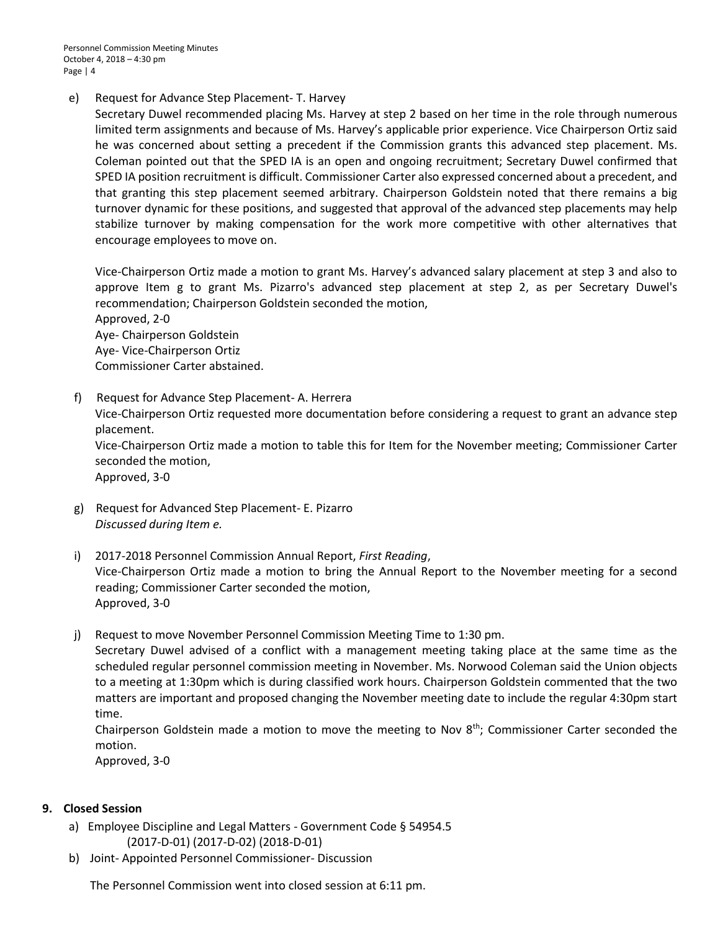Personnel Commission Meeting Minutes October 4, 2018 – 4:30 pm Page | 4

e) Request for Advance Step Placement- T. Harvey

Secretary Duwel recommended placing Ms. Harvey at step 2 based on her time in the role through numerous limited term assignments and because of Ms. Harvey's applicable prior experience. Vice Chairperson Ortiz said he was concerned about setting a precedent if the Commission grants this advanced step placement. Ms. Coleman pointed out that the SPED IA is an open and ongoing recruitment; Secretary Duwel confirmed that SPED IA position recruitment is difficult. Commissioner Carter also expressed concerned about a precedent, and that granting this step placement seemed arbitrary. Chairperson Goldstein noted that there remains a big turnover dynamic for these positions, and suggested that approval of the advanced step placements may help stabilize turnover by making compensation for the work more competitive with other alternatives that encourage employees to move on.

Vice-Chairperson Ortiz made a motion to grant Ms. Harvey's advanced salary placement at step 3 and also to approve Item g to grant Ms. Pizarro's advanced step placement at step 2, as per Secretary Duwel's recommendation; Chairperson Goldstein seconded the motion, Approved, 2-0

Aye- Chairperson Goldstein Aye- Vice-Chairperson Ortiz Commissioner Carter abstained.

f) Request for Advance Step Placement- A. Herrera

Vice-Chairperson Ortiz requested more documentation before considering a request to grant an advance step placement.

Vice-Chairperson Ortiz made a motion to table this for Item for the November meeting; Commissioner Carter seconded the motion,

Approved, 3-0

- g) Request for Advanced Step Placement- E. Pizarro *Discussed during Item e.*
- i) 2017-2018 Personnel Commission Annual Report, *First Reading*, Vice-Chairperson Ortiz made a motion to bring the Annual Report to the November meeting for a second reading; Commissioner Carter seconded the motion, Approved, 3-0
- j) Request to move November Personnel Commission Meeting Time to 1:30 pm.

Secretary Duwel advised of a conflict with a management meeting taking place at the same time as the scheduled regular personnel commission meeting in November. Ms. Norwood Coleman said the Union objects to a meeting at 1:30pm which is during classified work hours. Chairperson Goldstein commented that the two matters are important and proposed changing the November meeting date to include the regular 4:30pm start time.

Chairperson Goldstein made a motion to move the meeting to Nov  $8<sup>th</sup>$ ; Commissioner Carter seconded the motion.

Approved, 3-0

### **9. Closed Session**

- a) Employee Discipline and Legal Matters Government Code § 54954.5 (2017-D-01) (2017-D-02) (2018-D-01)
- b) Joint- Appointed Personnel Commissioner- Discussion

The Personnel Commission went into closed session at 6:11 pm.